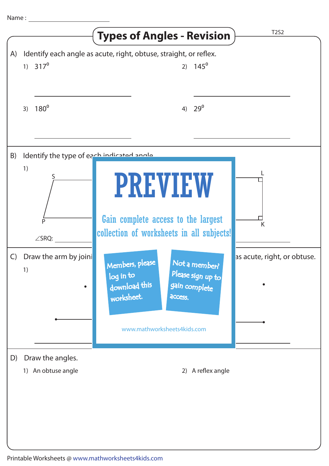| Name:        |                                                 |                                                                                                                               |                             |
|--------------|-------------------------------------------------|-------------------------------------------------------------------------------------------------------------------------------|-----------------------------|
|              |                                                 | <b>Types of Angles - Revision</b>                                                                                             | <b>T2S2</b>                 |
| A)           | 1) $317^0$                                      | Identify each angle as acute, right, obtuse, straight, or reflex.<br>2) $145^{\circ}$                                         |                             |
|              | 180 <sup>o</sup><br>3)                          | $29^0$<br>4)                                                                                                                  |                             |
| B)           | Identify the type of each indicated angle<br>1) |                                                                                                                               |                             |
|              | Þ<br>$\angle$ SRQ:                              | <b>PREVIEW</b><br>Gain complete access to the largest<br>collection of worksheets in all subjects!                            | K                           |
| $\mathsf{C}$ | Draw the arm by joini<br>1)<br>$\bullet$        | Members, please<br>Not a member?<br>Please sign up to<br>log in to<br>download this<br>gain complete<br>worksheet.<br>access. | as acute, right, or obtuse. |
|              |                                                 | www.mathworksheets4kids.com                                                                                                   |                             |
| D)           | Draw the angles.<br>1) An obtuse angle          | 2) A reflex angle                                                                                                             |                             |
|              |                                                 |                                                                                                                               |                             |
|              |                                                 |                                                                                                                               |                             |